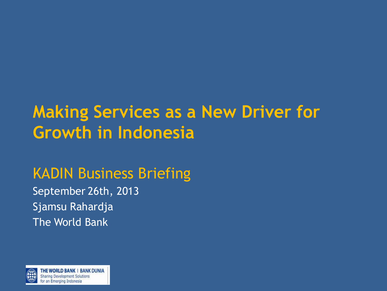# **Making Services as a New Driver for Growth in Indonesia**

# KADIN Business Briefing

September 26th, 2013 Sjamsu Rahardja The World Bank

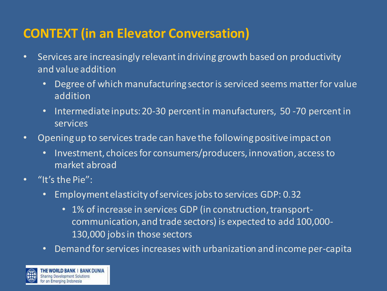# **CONTEXT (in an Elevator Conversation)**

- Services are increasingly relevant in driving growth based on productivity and value addition
	- Degree of which manufacturing sector is serviced seems matter for value addition
	- Intermediate inputs: 20-30 percent in manufacturers, 50 -70 percent in services
- Opening up to services trade can have the following positive impact on
	- Investment, choices for consumers/producers, innovation, access to market abroad
- "It's the Pie":
	- Employment elasticity of services jobs to services GDP: 0.32
		- 1% of increase in services GDP (in construction, transportcommunication, and trade sectors) is expected to add 100,000- 130,000 jobs in those sectors
	- Demand for services increases with urbanization and income per-capita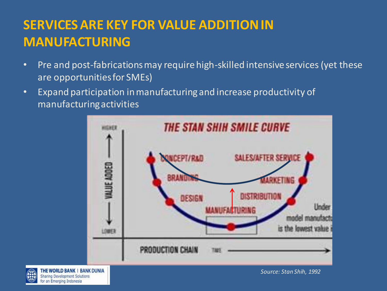# **SERVICES ARE KEY FOR VALUE ADDITION IN MANUFACTURING**

- Pre and post-fabrications may require high-skilled intensive services (yet these are opportunities for SMEs)
- Expand participation in manufacturing and increase productivity of manufacturing activities



THE WORLD BANK | BANK DUNIA **Sharing Development Solutions** or an Emerging Indonesia

*Source: Stan Shih, 1992*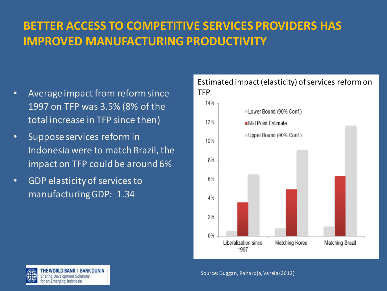# **BETTER ACCESS TO COMPETITIVE SERVICES PROVIDERS HAS IMPROVED MANUFACTURING PRODUCTIVITY**

- Average impact from reform since 1997 on TFP was 3.5% (8% of the total increase in TFP since then)
- Suppose services reform in Indonesia were to match Brazil, the impact on TFP could be around 6%
- GDP elasticity of services to manufacturing GDP: 1.34



Estimated impact (elasticity) of services reform on **TFP**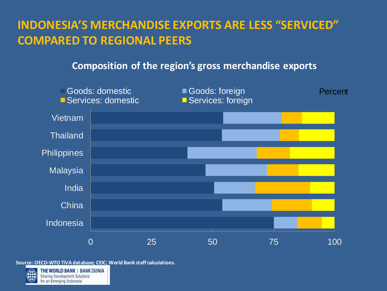## **INDONESIA'S MERCHANDISE EXPORTS ARE LESS "SERVICED" COMPARED TO REGIONAL PEERS**

#### **Composition of the region's gross merchandise exports**



**Source: OECD-WTO TiVA database; CEIC; World Bank staff calculations.**



THE WORLD BANK | BANK DUNIA **Sharing Development Solutions** or an Emerging Indonesia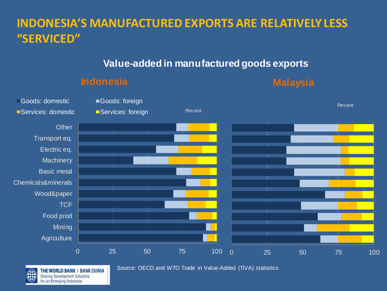# **INDONESIA'S MANUFACTURED EXPORTS ARE RELATIVELY LESS "SERVICED"**

#### **Value-added in manufactured goods exports**

#### **Indonesia Malaysia**





THE WORLD BANK | BANK DUNIA **Sharing Development Solutions** or an Emerging Indonesia

Source: OECD and WTO Trade in Value-Added (TiVA) statistics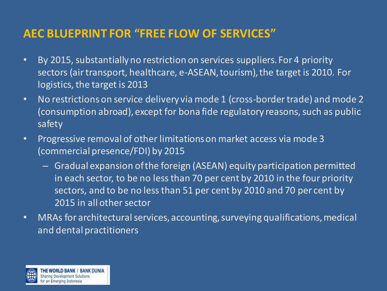### **AEC BLUEPRINT FOR "FREE FLOW OF SERVICES"**

- By 2015, substantially no restriction on services suppliers. For 4 priority sectors (air transport, healthcare, e-ASEAN, tourism), the target is 2010. For logistics, the target is 2013
- No restrictions on service delivery via mode 1 (cross-border trade) and mode 2 (consumption abroad), except for bona fide regulatory reasons, such as public safety
- Progressive removal of other limitations on market access via mode 3 (commercial presence/FDI) by 2015
	- Gradual expansion of the foreign (ASEAN) equity participation permitted in each sector, to be no less than 70 per cent by 2010 in the four priority sectors, and to be no less than 51 per cent by 2010 and 70 per cent by 2015 in all other sector
- MRAs for architectural services, accounting, surveying qualifications, medical and dental practitioners

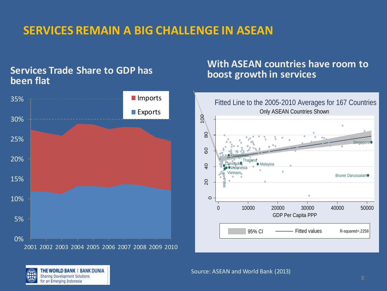## **SERVICES REMAIN A BIG CHALLENGE IN ASEAN**

#### **Services Trade Share to GDP has been flat**



#### **With ASEAN countries have room to boost growth in services**



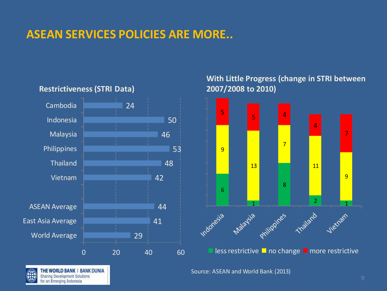### **ASEAN SERVICES POLICIES ARE MORE..**



#### **Restrictiveness (STRI Data)**

THE WORLD BANK | BANK DUNIA Sharing Development Solutions or an Emerging Indonesia

#### **With Little Progress (change in STRI between 2007/2008 to 2010)**



Source: ASEAN and World Bank (2013)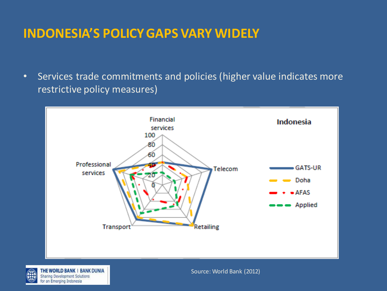## **INDONESIA'S POLICY GAPS VARY WIDELY**

• Services trade commitments and policies (higher value indicates more restrictive policy measures)





THE WORLD BANK | BANK DUNIA Sharing Development Solutions or an Emerging Indonesia

Source: World Bank (2012)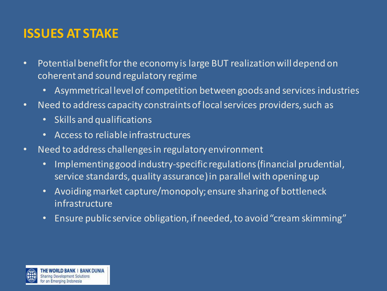# **ISSUES AT STAKE**

- Potential benefit for the economy is large BUT realization will depend on coherent and sound regulatory regime
	- Asymmetrical level of competition between goods and services industries
- Need to address capacity constraints of local services providers, such as
	- Skills and qualifications
	- Access to reliable infrastructures
- Need to address challenges in regulatory environment
	- Implementing good industry-specific regulations (financial prudential, service standards, quality assurance) in parallel with opening up
	- Avoiding market capture/monopoly; ensure sharing of bottleneck infrastructure
	- Ensure public service obligation, if needed, to avoid "cream skimming"